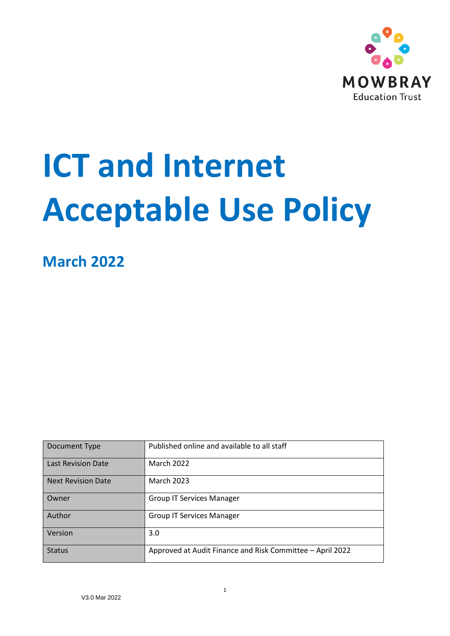

# **ICT and Internet Acceptable Use Policy**

**March 2022**

| Document Type             | Published online and available to all staff               |
|---------------------------|-----------------------------------------------------------|
| <b>Last Revision Date</b> | <b>March 2022</b>                                         |
| <b>Next Revision Date</b> | <b>March 2023</b>                                         |
| Owner                     | <b>Group IT Services Manager</b>                          |
| Author                    | <b>Group IT Services Manager</b>                          |
| Version                   | 3.0                                                       |
| <b>Status</b>             | Approved at Audit Finance and Risk Committee - April 2022 |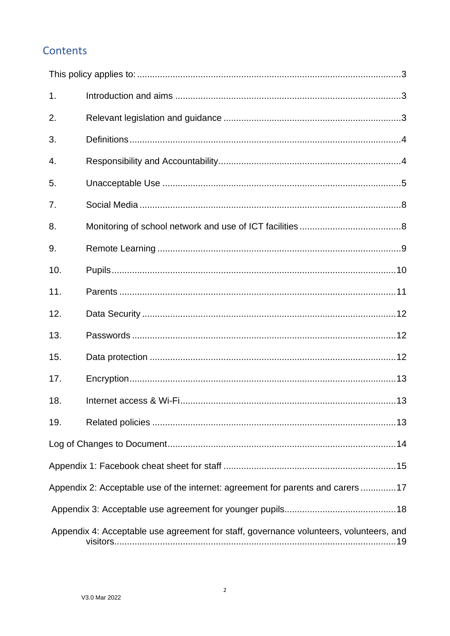# Contents

| 1.  |                                                                                        |
|-----|----------------------------------------------------------------------------------------|
| 2.  |                                                                                        |
| 3.  |                                                                                        |
| 4.  |                                                                                        |
| 5.  |                                                                                        |
| 7.  |                                                                                        |
| 8.  |                                                                                        |
| 9.  |                                                                                        |
| 10. |                                                                                        |
| 11. |                                                                                        |
| 12. |                                                                                        |
| 13. |                                                                                        |
| 15. |                                                                                        |
| 17. |                                                                                        |
| 18. |                                                                                        |
| 19. |                                                                                        |
|     |                                                                                        |
|     |                                                                                        |
|     | Appendix 2: Acceptable use of the internet: agreement for parents and carers17         |
|     |                                                                                        |
|     | Appendix 4: Acceptable use agreement for staff, governance volunteers, volunteers, and |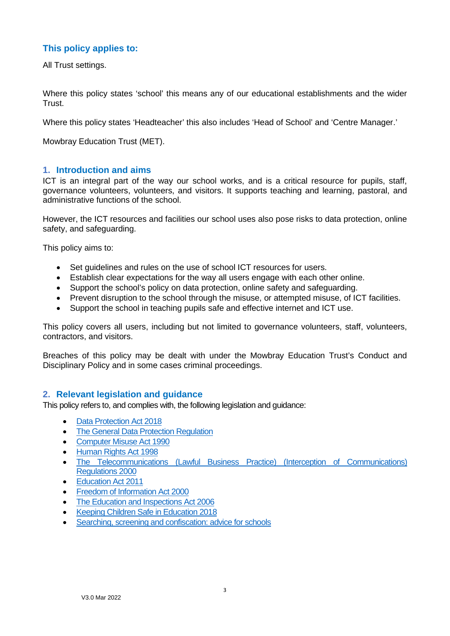# <span id="page-2-0"></span>**This policy applies to:**

All Trust settings.

Where this policy states 'school' this means any of our educational establishments and the wider Trust.

Where this policy states 'Headteacher' this also includes 'Head of School' and 'Centre Manager.'

Mowbray Education Trust (MET).

#### <span id="page-2-1"></span>**1. Introduction and aims**

ICT is an integral part of the way our school works, and is a critical resource for pupils, staff, governance volunteers, volunteers, and visitors. It supports teaching and learning, pastoral, and administrative functions of the school.

However, the ICT resources and facilities our school uses also pose risks to data protection, online safety, and safeguarding.

This policy aims to:

- Set guidelines and rules on the use of school ICT resources for users.
- Establish clear expectations for the way all users engage with each other online.
- Support the school's policy on data protection, online safety and safeguarding.
- Prevent disruption to the school through the misuse, or attempted misuse, of ICT facilities.
- Support the school in teaching pupils safe and effective internet and ICT use.

This policy covers all users, including but not limited to governance volunteers, staff, volunteers, contractors, and visitors.

Breaches of this policy may be dealt with under the Mowbray Education Trust's Conduct and Disciplinary Policy and in some cases criminal proceedings.

#### <span id="page-2-2"></span>**2. Relevant legislation and guidance**

This policy refers to, and complies with, the following legislation and guidance:

- [Data Protection Act 2018](http://www.legislation.gov.uk/ukpga/2018/12/contents/enacted)
- [The General Data Protection](https://eur-lex.europa.eu/legal-content/EN/TXT/HTML/?uri=CELEX:32016R0679) [Regulation](https://eur-lex.europa.eu/legal-content/EN/TXT/HTML/?uri=CELEX:32016R0679)
- [Computer Misuse Act 1990](https://www.legislation.gov.uk/ukpga/1990/18/contents)
- [Human Rights Act 1998](https://www.legislation.gov.uk/ukpga/1998/42/contents)
- [The Telecommunications \(Lawful Business Practice\) \(Interception of Communications\)](https://www.legislation.gov.uk/uksi/2000/2699/regulation/3/made)  [Regulations 2000](https://www.legislation.gov.uk/uksi/2000/2699/regulation/3/made)
- [Education Act 2011](http://www.legislation.gov.uk/ukpga/2011/21/section/2/enacted)
- [Freedom of Information Act 2000](https://www.legislation.gov.uk/ukpga/2000/36/contents)
- [The Education and Inspections Act 2006](https://www.legislation.gov.uk/ukpga/2006/40/part/7/chapter/1)
- [Keeping Children Safe in Education 2018](https://www.gov.uk/government/publications/keeping-children-safe-in-education--2)
- [Searching, screening and confiscation: advice for schools](https://www.gov.uk/government/publications/searching-screening-and-confiscation)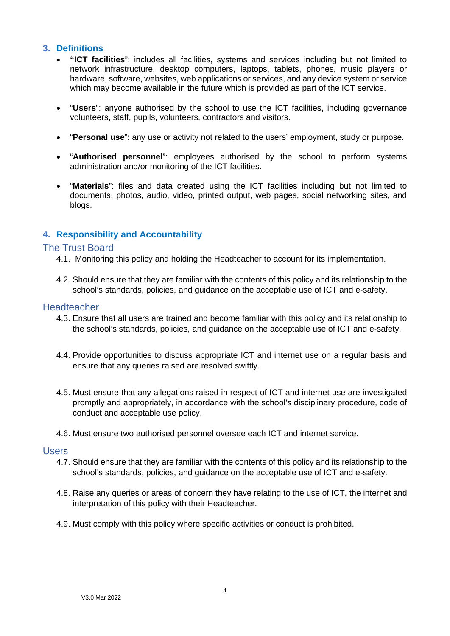## <span id="page-3-0"></span>**3. Definitions**

- **"ICT facilities**": includes all facilities, systems and services including but not limited to network infrastructure, desktop computers, laptops, tablets, phones, music players or hardware, software, websites, web applications or services, and any device system or service which may become available in the future which is provided as part of the ICT service.
- "**Users**": anyone authorised by the school to use the ICT facilities, including governance volunteers, staff, pupils, volunteers, contractors and visitors.
- "**Personal use**": any use or activity not related to the users' employment, study or purpose.
- "**Authorised personnel**": employees authorised by the school to perform systems administration and/or monitoring of the ICT facilities.
- "**Materials**": files and data created using the ICT facilities including but not limited to documents, photos, audio, video, printed output, web pages, social networking sites, and blogs.

# <span id="page-3-1"></span>**4. Responsibility and Accountability**

#### The Trust Board

- 4.1. Monitoring this policy and holding the Headteacher to account for its implementation.
- 4.2. Should ensure that they are familiar with the contents of this policy and its relationship to the school's standards, policies, and guidance on the acceptable use of ICT and e-safety.

#### **Headteacher**

- 4.3. Ensure that all users are trained and become familiar with this policy and its relationship to the school's standards, policies, and guidance on the acceptable use of ICT and e-safety.
- 4.4. Provide opportunities to discuss appropriate ICT and internet use on a regular basis and ensure that any queries raised are resolved swiftly.
- 4.5. Must ensure that any allegations raised in respect of ICT and internet use are investigated promptly and appropriately, in accordance with the school's disciplinary procedure, code of conduct and acceptable use policy.
- 4.6. Must ensure two authorised personnel oversee each ICT and internet service.

#### Users

- 4.7. Should ensure that they are familiar with the contents of this policy and its relationship to the school's standards, policies, and guidance on the acceptable use of ICT and e-safety.
- 4.8. Raise any queries or areas of concern they have relating to the use of ICT, the internet and interpretation of this policy with their Headteacher.
- 4.9. Must comply with this policy where specific activities or conduct is prohibited.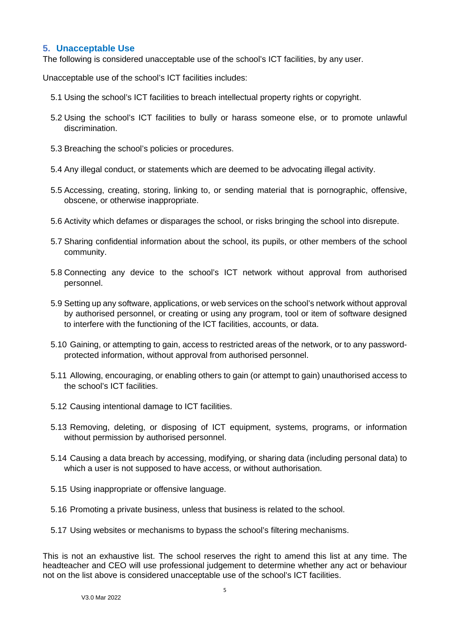## <span id="page-4-0"></span>**5. Unacceptable Use**

The following is considered unacceptable use of the school's ICT facilities, by any user.

Unacceptable use of the school's ICT facilities includes:

- 5.1 Using the school's ICT facilities to breach intellectual property rights or copyright.
- 5.2 Using the school's ICT facilities to bully or harass someone else, or to promote unlawful discrimination.
- 5.3 Breaching the school's policies or procedures.
- 5.4 Any illegal conduct, or statements which are deemed to be advocating illegal activity.
- 5.5 Accessing, creating, storing, linking to, or sending material that is pornographic, offensive, obscene, or otherwise inappropriate.
- 5.6 Activity which defames or disparages the school, or risks bringing the school into disrepute.
- 5.7 Sharing confidential information about the school, its pupils, or other members of the school community.
- 5.8 Connecting any device to the school's ICT network without approval from authorised personnel.
- 5.9 Setting up any software, applications, or web services on the school's network without approval by authorised personnel, or creating or using any program, tool or item of software designed to interfere with the functioning of the ICT facilities, accounts, or data.
- 5.10 Gaining, or attempting to gain, access to restricted areas of the network, or to any passwordprotected information, without approval from authorised personnel.
- 5.11 Allowing, encouraging, or enabling others to gain (or attempt to gain) unauthorised access to the school's ICT facilities.
- 5.12 Causing intentional damage to ICT facilities.
- 5.13 Removing, deleting, or disposing of ICT equipment, systems, programs, or information without permission by authorised personnel.
- 5.14 Causing a data breach by accessing, modifying, or sharing data (including personal data) to which a user is not supposed to have access, or without authorisation.
- 5.15 Using inappropriate or offensive language.
- 5.16 Promoting a private business, unless that business is related to the school.
- 5.17 Using websites or mechanisms to bypass the school's filtering mechanisms.

This is not an exhaustive list. The school reserves the right to amend this list at any time. The headteacher and CEO will use professional judgement to determine whether any act or behaviour not on the list above is considered unacceptable use of the school's ICT facilities.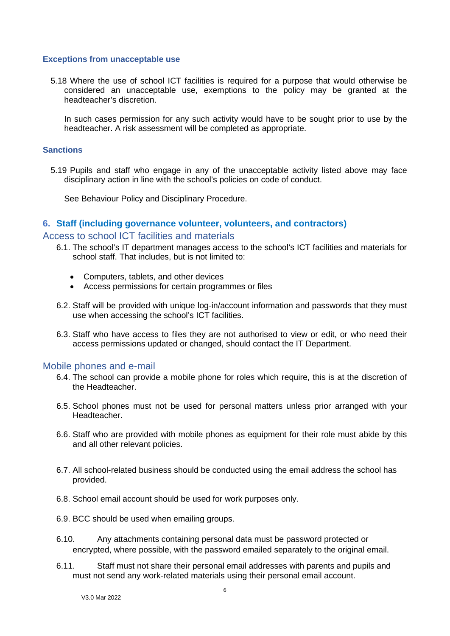#### **Exceptions from unacceptable use**

5.18 Where the use of school ICT facilities is required for a purpose that would otherwise be considered an unacceptable use, exemptions to the policy may be granted at the headteacher's discretion.

In such cases permission for any such activity would have to be sought prior to use by the headteacher. A risk assessment will be completed as appropriate.

#### **Sanctions**

5.19 Pupils and staff who engage in any of the unacceptable activity listed above may face disciplinary action in line with the school's policies on code of conduct.

See Behaviour Policy and Disciplinary Procedure.

#### **6. Staff (including governance volunteer, volunteers, and contractors)**

Access to school ICT facilities and materials

- 6.1. The school's IT department manages access to the school's ICT facilities and materials for school staff. That includes, but is not limited to:
	- Computers, tablets, and other devices
	- Access permissions for certain programmes or files
- 6.2. Staff will be provided with unique log-in/account information and passwords that they must use when accessing the school's ICT facilities.
- 6.3. Staff who have access to files they are not authorised to view or edit, or who need their access permissions updated or changed, should contact the IT Department.

#### Mobile phones and e-mail

- 6.4. The school can provide a mobile phone for roles which require, this is at the discretion of the Headteacher.
- 6.5. School phones must not be used for personal matters unless prior arranged with your Headteacher.
- 6.6. Staff who are provided with mobile phones as equipment for their role must abide by this and all other relevant policies.
- 6.7. All school-related business should be conducted using the email address the school has provided.
- 6.8. School email account should be used for work purposes only.
- 6.9. BCC should be used when emailing groups.
- 6.10. Any attachments containing personal data must be password protected or encrypted, where possible, with the password emailed separately to the original email.
- 6.11. Staff must not share their personal email addresses with parents and pupils and must not send any work-related materials using their personal email account.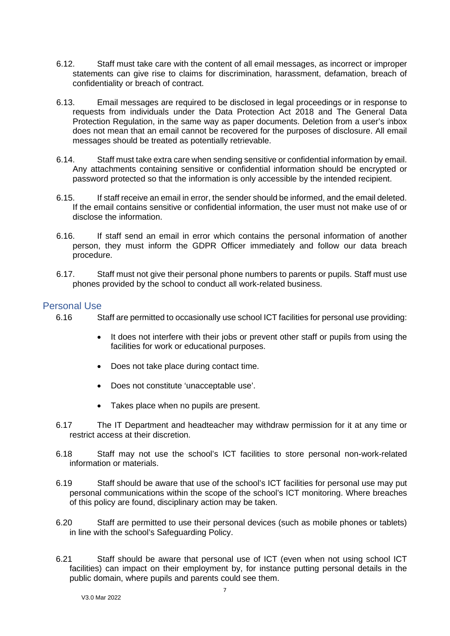- 6.12. Staff must take care with the content of all email messages, as incorrect or improper statements can give rise to claims for discrimination, harassment, defamation, breach of confidentiality or breach of contract.
- 6.13. Email messages are required to be disclosed in legal proceedings or in response to requests from individuals under the Data Protection Act 2018 and The General Data Protection Regulation, in the same way as paper documents. Deletion from a user's inbox does not mean that an email cannot be recovered for the purposes of disclosure. All email messages should be treated as potentially retrievable.
- 6.14. Staff must take extra care when sending sensitive or confidential information by email. Any attachments containing sensitive or confidential information should be encrypted or password protected so that the information is only accessible by the intended recipient.
- 6.15. If staff receive an email in error, the sender should be informed, and the email deleted. If the email contains sensitive or confidential information, the user must not make use of or disclose the information.
- 6.16. If staff send an email in error which contains the personal information of another person, they must inform the GDPR Officer immediately and follow our data breach procedure.
- 6.17. Staff must not give their personal phone numbers to parents or pupils. Staff must use phones provided by the school to conduct all work-related business.

#### Personal Use

6.16 Staff are permitted to occasionally use school ICT facilities for personal use providing:

- It does not interfere with their jobs or prevent other staff or pupils from using the facilities for work or educational purposes.
- Does not take place during contact time.
- Does not constitute 'unacceptable use'.
- Takes place when no pupils are present.
- 6.17 The IT Department and headteacher may withdraw permission for it at any time or restrict access at their discretion.
- 6.18 Staff may not use the school's ICT facilities to store personal non-work-related information or materials.
- 6.19 Staff should be aware that use of the school's ICT facilities for personal use may put personal communications within the scope of the school's ICT monitoring. Where breaches of this policy are found, disciplinary action may be taken.
- 6.20 Staff are permitted to use their personal devices (such as mobile phones or tablets) in line with the school's Safeguarding Policy.
- 6.21 Staff should be aware that personal use of ICT (even when not using school ICT facilities) can impact on their employment by, for instance putting personal details in the public domain, where pupils and parents could see them.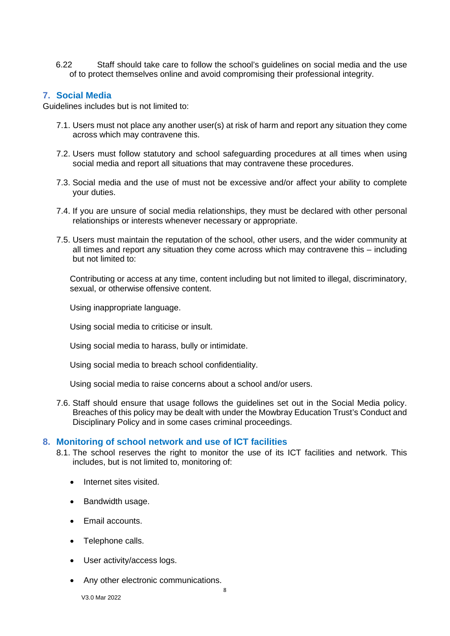6.22 Staff should take care to follow the school's guidelines on social media and the use of to protect themselves online and avoid compromising their professional integrity.

#### <span id="page-7-0"></span>**7. Social Media**

Guidelines includes but is not limited to:

- 7.1. Users must not place any another user(s) at risk of harm and report any situation they come across which may contravene this.
- 7.2. Users must follow statutory and school safeguarding procedures at all times when using social media and report all situations that may contravene these procedures.
- 7.3. Social media and the use of must not be excessive and/or affect your ability to complete your duties.
- 7.4. If you are unsure of social media relationships, they must be declared with other personal relationships or interests whenever necessary or appropriate.
- 7.5. Users must maintain the reputation of the school, other users, and the wider community at all times and report any situation they come across which may contravene this – including but not limited to:

Contributing or access at any time, content including but not limited to illegal, discriminatory, sexual, or otherwise offensive content.

Using inappropriate language.

Using social media to criticise or insult.

Using social media to harass, bully or intimidate.

Using social media to breach school confidentiality.

Using social media to raise concerns about a school and/or users.

7.6. Staff should ensure that usage follows the guidelines set out in the Social Media policy. Breaches of this policy may be dealt with under the Mowbray Education Trust's Conduct and Disciplinary Policy and in some cases criminal proceedings.

#### <span id="page-7-1"></span>**8. Monitoring of school network and use of ICT facilities**

- 8.1. The school reserves the right to monitor the use of its ICT facilities and network. This includes, but is not limited to, monitoring of:
	- Internet sites visited.
	- Bandwidth usage.
	- Email accounts.
	- Telephone calls.
	- User activity/access logs.
	- Any other electronic communications.

V3.0 Mar 2022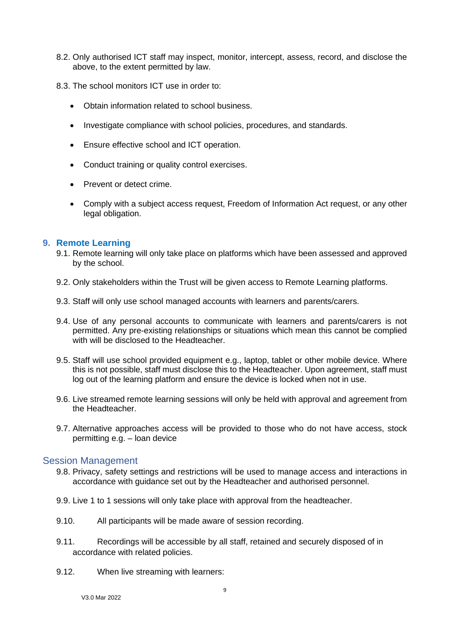- 8.2. Only authorised ICT staff may inspect, monitor, intercept, assess, record, and disclose the above, to the extent permitted by law.
- 8.3. The school monitors ICT use in order to:
	- Obtain information related to school business.
	- Investigate compliance with school policies, procedures, and standards.
	- Ensure effective school and ICT operation.
	- Conduct training or quality control exercises.
	- Prevent or detect crime.
	- Comply with a subject access request, Freedom of Information Act request, or any other legal obligation.

#### <span id="page-8-0"></span>**9. Remote Learning**

- 9.1. Remote learning will only take place on platforms which have been assessed and approved by the school.
- 9.2. Only stakeholders within the Trust will be given access to Remote Learning platforms.
- 9.3. Staff will only use school managed accounts with learners and parents/carers.
- 9.4. Use of any personal accounts to communicate with learners and parents/carers is not permitted. Any pre-existing relationships or situations which mean this cannot be complied with will be disclosed to the Headteacher.
- 9.5. Staff will use school provided equipment e.g., laptop, tablet or other mobile device. Where this is not possible, staff must disclose this to the Headteacher. Upon agreement, staff must log out of the learning platform and ensure the device is locked when not in use.
- 9.6. Live streamed remote learning sessions will only be held with approval and agreement from the Headteacher.
- 9.7. Alternative approaches access will be provided to those who do not have access, stock permitting e.g. – loan device

#### Session Management

- 9.8. Privacy, safety settings and restrictions will be used to manage access and interactions in accordance with guidance set out by the Headteacher and authorised personnel.
- 9.9. Live 1 to 1 sessions will only take place with approval from the headteacher.
- 9.10. All participants will be made aware of session recording.
- 9.11. Recordings will be accessible by all staff, retained and securely disposed of in accordance with related policies.
- 9.12. When live streaming with learners: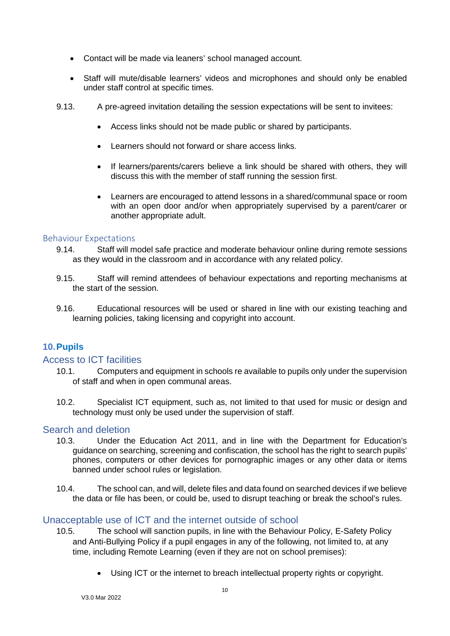- Contact will be made via leaners' school managed account.
- Staff will mute/disable learners' videos and microphones and should only be enabled under staff control at specific times.
- 9.13. A pre-agreed invitation detailing the session expectations will be sent to invitees:
	- Access links should not be made public or shared by participants.
	- Learners should not forward or share access links.
	- If learners/parents/carers believe a link should be shared with others, they will discuss this with the member of staff running the session first.
	- Learners are encouraged to attend lessons in a shared/communal space or room with an open door and/or when appropriately supervised by a parent/carer or another appropriate adult.

#### Behaviour Expectations

- 9.14. Staff will model safe practice and moderate behaviour online during remote sessions as they would in the classroom and in accordance with any related policy.
- 9.15. Staff will remind attendees of behaviour expectations and reporting mechanisms at the start of the session.
- 9.16. Educational resources will be used or shared in line with our existing teaching and learning policies, taking licensing and copyright into account.

# <span id="page-9-0"></span>**10.Pupils**

# Access to ICT facilities

- 10.1. Computers and equipment in schools re available to pupils only under the supervision of staff and when in open communal areas.
- 10.2. Specialist ICT equipment, such as, not limited to that used for music or design and technology must only be used under the supervision of staff.

# Search and deletion

- 10.3. Under the Education Act 2011, and in line with the Department for Education's [guidance on searching, screening and confiscation,](https://www.gov.uk/government/publications/searching-screening-and-confiscation) the school has the right to search pupils' phones, computers or other devices for pornographic images or any other data or items banned under school rules or legislation.
- 10.4. The school can, and will, delete files and data found on searched devices if we believe the data or file has been, or could be, used to disrupt teaching or break the school's rules.

# Unacceptable use of ICT and the internet outside of school

- 10.5. The school will sanction pupils, in line with the Behaviour Policy, E-Safety Policy and Anti-Bullying Policy if a pupil engages in any of the following, not limited to, at any time, including Remote Learning (even if they are not on school premises):
	- Using ICT or the internet to breach intellectual property rights or copyright.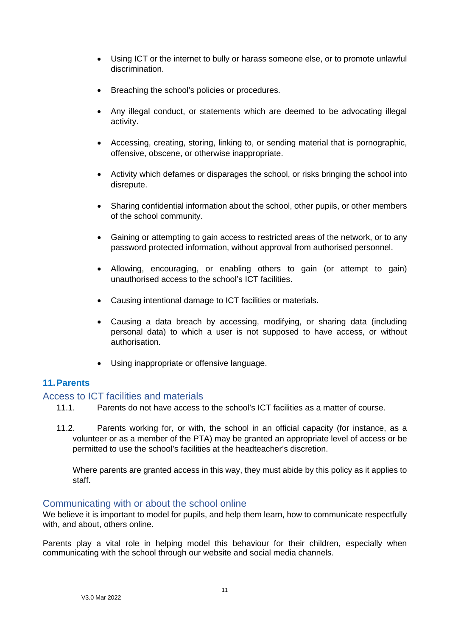- Using ICT or the internet to bully or harass someone else, or to promote unlawful discrimination.
- Breaching the school's policies or procedures.
- Any illegal conduct, or statements which are deemed to be advocating illegal activity.
- Accessing, creating, storing, linking to, or sending material that is pornographic, offensive, obscene, or otherwise inappropriate.
- Activity which defames or disparages the school, or risks bringing the school into disrepute.
- Sharing confidential information about the school, other pupils, or other members of the school community.
- Gaining or attempting to gain access to restricted areas of the network, or to any password protected information, without approval from authorised personnel.
- Allowing, encouraging, or enabling others to gain (or attempt to gain) unauthorised access to the school's ICT facilities.
- Causing intentional damage to ICT facilities or materials.
- Causing a data breach by accessing, modifying, or sharing data (including personal data) to which a user is not supposed to have access, or without authorisation.
- Using inappropriate or offensive language.

# <span id="page-10-0"></span>**11.Parents**

# Access to ICT facilities and materials

- 11.1. Parents do not have access to the school's ICT facilities as a matter of course.
- 11.2. Parents working for, or with, the school in an official capacity (for instance, as a volunteer or as a member of the PTA) may be granted an appropriate level of access or be permitted to use the school's facilities at the headteacher's discretion.

Where parents are granted access in this way, they must abide by this policy as it applies to staff.

#### Communicating with or about the school online

We believe it is important to model for pupils, and help them learn, how to communicate respectfully with, and about, others online.

Parents play a vital role in helping model this behaviour for their children, especially when communicating with the school through our website and social media channels.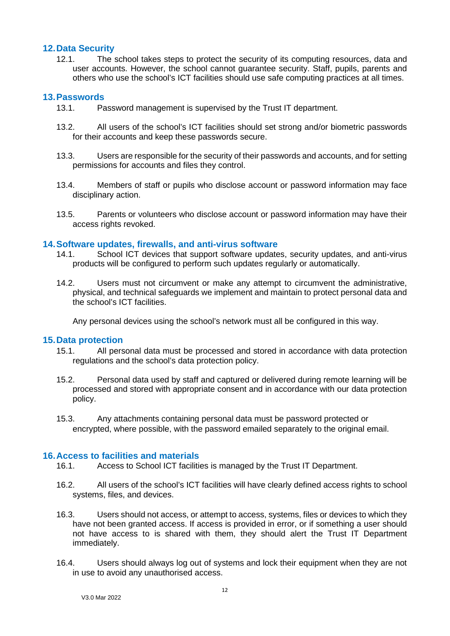## <span id="page-11-0"></span>**12.Data Security**

12.1. The school takes steps to protect the security of its computing resources, data and user accounts. However, the school cannot guarantee security. Staff, pupils, parents and others who use the school's ICT facilities should use safe computing practices at all times.

## <span id="page-11-1"></span>**13.Passwords**

- 13.1. Password management is supervised by the Trust IT department.
- 13.2. All users of the school's ICT facilities should set strong and/or biometric passwords for their accounts and keep these passwords secure.
- 13.3. Users are responsible for the security of their passwords and accounts, and for setting permissions for accounts and files they control.
- 13.4. Members of staff or pupils who disclose account or password information may face disciplinary action.
- 13.5. Parents or volunteers who disclose account or password information may have their access rights revoked.

#### **14.Software updates, firewalls, and anti-virus software**

- 14.1. School ICT devices that support software updates, security updates, and anti-virus products will be configured to perform such updates regularly or automatically.
- 14.2. Users must not circumvent or make any attempt to circumvent the administrative, physical, and technical safeguards we implement and maintain to protect personal data and the school's ICT facilities.

Any personal devices using the school's network must all be configured in this way.

#### <span id="page-11-2"></span>**15.Data protection**

- 15.1. All personal data must be processed and stored in accordance with data protection regulations and the school's data protection policy.
- 15.2. Personal data used by staff and captured or delivered during remote learning will be processed and stored with appropriate consent and in accordance with our data protection policy.
- 15.3. Any attachments containing personal data must be password protected or encrypted, where possible, with the password emailed separately to the original email.

#### **16.Access to facilities and materials**

- 16.1. Access to School ICT facilities is managed by the Trust IT Department.
- 16.2. All users of the school's ICT facilities will have clearly defined access rights to school systems, files, and devices.
- 16.3. Users should not access, or attempt to access, systems, files or devices to which they have not been granted access. If access is provided in error, or if something a user should not have access to is shared with them, they should alert the Trust IT Department immediately.
- 16.4. Users should always log out of systems and lock their equipment when they are not in use to avoid any unauthorised access.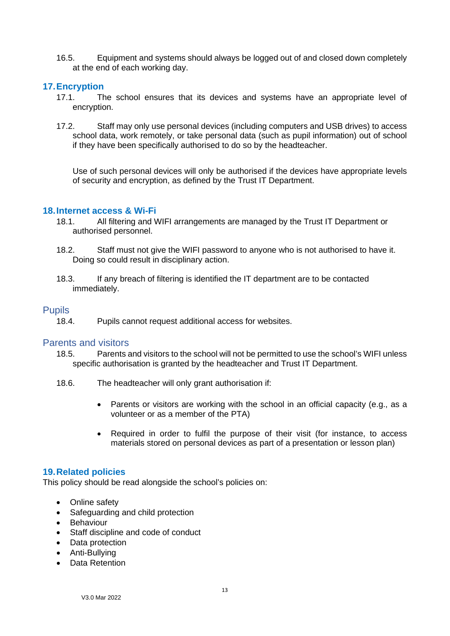16.5. Equipment and systems should always be logged out of and closed down completely at the end of each working day.

## <span id="page-12-0"></span>**17.Encryption**

- 17.1. The school ensures that its devices and systems have an appropriate level of encryption.
- 17.2. Staff may only use personal devices (including computers and USB drives) to access school data, work remotely, or take personal data (such as pupil information) out of school if they have been specifically authorised to do so by the headteacher.

Use of such personal devices will only be authorised if the devices have appropriate levels of security and encryption, as defined by the Trust IT Department.

#### <span id="page-12-1"></span>**18.Internet access & Wi-Fi**

- 18.1. All filtering and WIFI arrangements are managed by the Trust IT Department or authorised personnel.
- 18.2. Staff must not give the WIFI password to anyone who is not authorised to have it. Doing so could result in disciplinary action.
- 18.3. If any breach of filtering is identified the IT department are to be contacted immediately.

#### **Pupils**

18.4. Pupils cannot request additional access for websites.

#### Parents and visitors

- 18.5. Parents and visitors to the school will not be permitted to use the school's WIFI unless specific authorisation is granted by the headteacher and Trust IT Department.
- 18.6. The headteacher will only grant authorisation if:
	- Parents or visitors are working with the school in an official capacity (e.g., as a volunteer or as a member of the PTA)
	- Required in order to fulfil the purpose of their visit (for instance, to access materials stored on personal devices as part of a presentation or lesson plan)

#### <span id="page-12-2"></span>**19.Related policies**

This policy should be read alongside the school's policies on:

- Online safety
- Safeguarding and child protection
- Behaviour
- Staff discipline and code of conduct
- Data protection
- Anti-Bullying
- Data Retention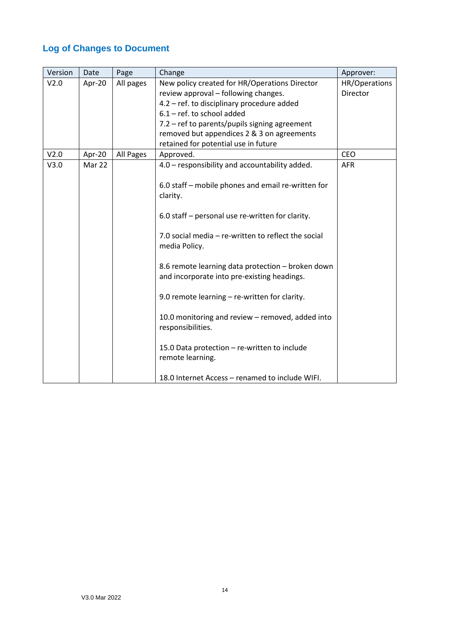# <span id="page-13-0"></span>**Log of Changes to Document**

| Version | Date   | Page      | Change                                              | Approver:       |
|---------|--------|-----------|-----------------------------------------------------|-----------------|
| V2.0    | Apr-20 | All pages | New policy created for HR/Operations Director       | HR/Operations   |
|         |        |           | review approval - following changes.                | <b>Director</b> |
|         |        |           | 4.2 - ref. to disciplinary procedure added          |                 |
|         |        |           | $6.1$ – ref. to school added                        |                 |
|         |        |           | 7.2 - ref to parents/pupils signing agreement       |                 |
|         |        |           | removed but appendices 2 & 3 on agreements          |                 |
|         |        |           | retained for potential use in future                |                 |
| V2.0    | Apr-20 | All Pages | Approved.                                           | <b>CEO</b>      |
| V3.0    | Mar 22 |           | 4.0 - responsibility and accountability added.      | <b>AFR</b>      |
|         |        |           |                                                     |                 |
|         |        |           | 6.0 staff - mobile phones and email re-written for  |                 |
|         |        |           | clarity.                                            |                 |
|         |        |           | 6.0 staff – personal use re-written for clarity.    |                 |
|         |        |           |                                                     |                 |
|         |        |           | 7.0 social media - re-written to reflect the social |                 |
|         |        |           | media Policy.                                       |                 |
|         |        |           |                                                     |                 |
|         |        |           | 8.6 remote learning data protection - broken down   |                 |
|         |        |           | and incorporate into pre-existing headings.         |                 |
|         |        |           |                                                     |                 |
|         |        |           | 9.0 remote learning - re-written for clarity.       |                 |
|         |        |           |                                                     |                 |
|         |        |           | 10.0 monitoring and review - removed, added into    |                 |
|         |        |           | responsibilities.                                   |                 |
|         |        |           |                                                     |                 |
|         |        |           | 15.0 Data protection - re-written to include        |                 |
|         |        |           | remote learning.                                    |                 |
|         |        |           |                                                     |                 |
|         |        |           | 18.0 Internet Access - renamed to include WIFI.     |                 |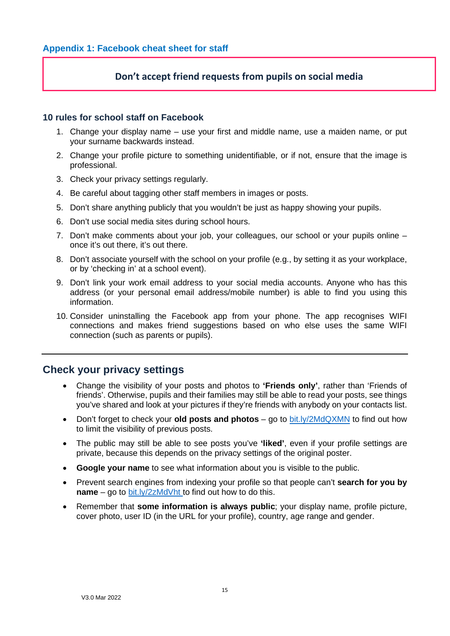# **Don't accept friend requests from pupils on social media**

#### <span id="page-14-0"></span>**10 rules for school staff on Facebook**

- 1. Change your display name use your first and middle name, use a maiden name, or put your surname backwards instead.
- 2. Change your profile picture to something unidentifiable, or if not, ensure that the image is professional.
- 3. Check your privacy settings regularly.
- 4. Be careful about tagging other staff members in images or posts.
- 5. Don't share anything publicly that you wouldn't be just as happy showing your pupils.
- 6. Don't use social media sites during school hours.
- 7. Don't make comments about your job, your colleagues, our school or your pupils online once it's out there, it's out there.
- 8. Don't associate yourself with the school on your profile (e.g., by setting it as your workplace, or by 'checking in' at a school event).
- 9. Don't link your work email address to your social media accounts. Anyone who has this address (or your personal email address/mobile number) is able to find you using this information.
- 10. Consider uninstalling the Facebook app from your phone. The app recognises WIFI connections and makes friend suggestions based on who else uses the same WIFI connection (such as parents or pupils).

# **Check your privacy settings**

- Change the visibility of your posts and photos to **'Friends only'**, rather than 'Friends of friends'. Otherwise, pupils and their families may still be able to read your posts, see things you've shared and look at your pictures if they're friends with anybody on your contacts list.
- Don't forget to check your **old posts and photos** go to [bit.ly/2MdQXMN](https://www.facebook.com/help/iphone-app/236898969688346?helpref=uf_permalink) to find out how to limit the visibility of previous posts.
- The public may still be able to see posts you've **'liked'**, even if your profile settings are private, because this depends on the privacy settings of the original poster.
- **Google your name** to see what information about you is visible to the public.
- Prevent search engines from indexing your profile so that people can't **search for you by name** – go to [bit.ly/2zMdVht t](https://www.facebook.com/help/124518907626945?helpref=faq_content)o find out how to do this.
- Remember that **some information is always public**; your display name, profile picture, cover photo, user ID (in the URL for your profile), country, age range and gender.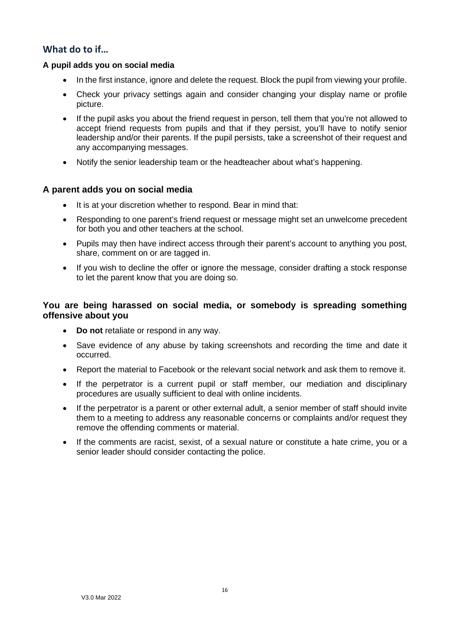# **What do to if…**

#### **A pupil adds you on social media**

- In the first instance, ignore and delete the request. Block the pupil from viewing your profile.
- Check your privacy settings again and consider changing your display name or profile picture.
- If the pupil asks you about the friend request in person, tell them that you're not allowed to accept friend requests from pupils and that if they persist, you'll have to notify senior leadership and/or their parents. If the pupil persists, take a screenshot of their request and any accompanying messages.
- Notify the senior leadership team or the headteacher about what's happening.

## **A parent adds you on social media**

- It is at your discretion whether to respond. Bear in mind that:
- Responding to one parent's friend request or message might set an unwelcome precedent for both you and other teachers at the school.
- Pupils may then have indirect access through their parent's account to anything you post, share, comment on or are tagged in.
- If you wish to decline the offer or ignore the message, consider drafting a stock response to let the parent know that you are doing so.

# **You are being harassed on social media, or somebody is spreading something offensive about you**

- **Do not** retaliate or respond in any way.
- Save evidence of any abuse by taking screenshots and recording the time and date it occurred.
- Report the material to Facebook or the relevant social network and ask them to remove it.
- If the perpetrator is a current pupil or staff member, our mediation and disciplinary procedures are usually sufficient to deal with online incidents.
- If the perpetrator is a parent or other external adult, a senior member of staff should invite them to a meeting to address any reasonable concerns or complaints and/or request they remove the offending comments or material.
- If the comments are racist, sexist, of a sexual nature or constitute a hate crime, you or a senior leader should consider contacting the police.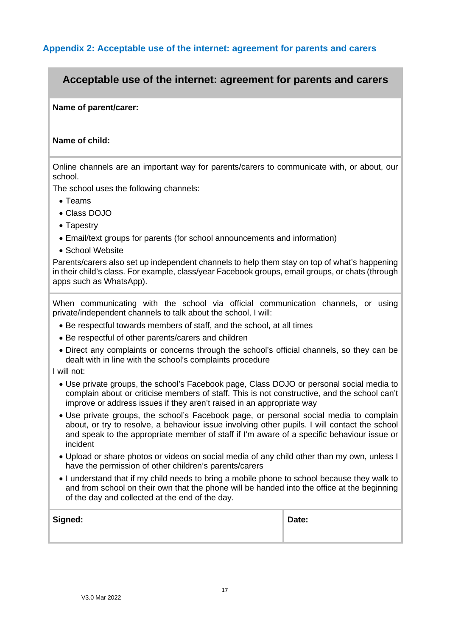# <span id="page-16-0"></span>**Appendix 2: Acceptable use of the internet: agreement for parents and carers**

# **Acceptable use of the internet: agreement for parents and carers**

#### **Name of parent/carer:**

#### **Name of child:**

Online channels are an important way for parents/carers to communicate with, or about, our school.

The school uses the following channels:

- Teams
- Class DOJO
- Tapestry
- Email/text groups for parents (for school announcements and information)
- School Website

Parents/carers also set up independent channels to help them stay on top of what's happening in their child's class. For example, class/year Facebook groups, email groups, or chats (through apps such as WhatsApp).

When communicating with the school via official communication channels, or using private/independent channels to talk about the school, I will:

- Be respectful towards members of staff, and the school, at all times
- Be respectful of other parents/carers and children
- Direct any complaints or concerns through the school's official channels, so they can be dealt with in line with the school's complaints procedure

I will not:

- Use private groups, the school's Facebook page, Class DOJO or personal social media to complain about or criticise members of staff. This is not constructive, and the school can't improve or address issues if they aren't raised in an appropriate way
- Use private groups, the school's Facebook page, or personal social media to complain about, or try to resolve, a behaviour issue involving other pupils. I will contact the school and speak to the appropriate member of staff if I'm aware of a specific behaviour issue or incident
- Upload or share photos or videos on social media of any child other than my own, unless I have the permission of other children's parents/carers
- I understand that if my child needs to bring a mobile phone to school because they walk to and from school on their own that the phone will be handed into the office at the beginning of the day and collected at the end of the day.

| Signed: | Date: |
|---------|-------|
|         |       |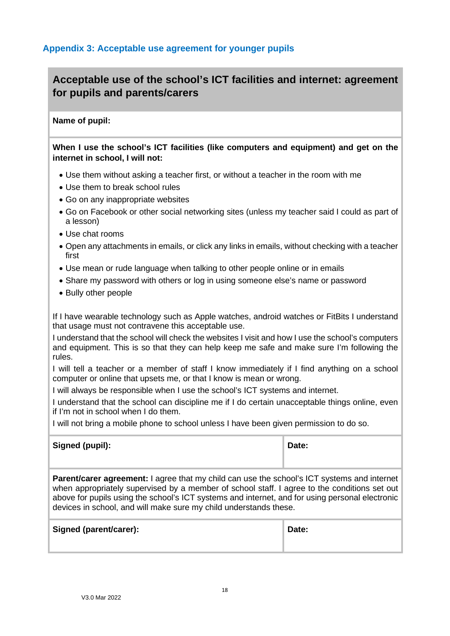# <span id="page-17-0"></span>**Acceptable use of the school's ICT facilities and internet: agreement for pupils and parents/carers**

#### **Name of pupil:**

**When I use the school's ICT facilities (like computers and equipment) and get on the internet in school, I will not:** 

- Use them without asking a teacher first, or without a teacher in the room with me
- Use them to break school rules
- Go on any inappropriate websites
- Go on Facebook or other social networking sites (unless my teacher said I could as part of a lesson)
- Use chat rooms
- Open any attachments in emails, or click any links in emails, without checking with a teacher first
- Use mean or rude language when talking to other people online or in emails
- Share my password with others or log in using someone else's name or password
- Bully other people

If I have wearable technology such as Apple watches, android watches or FitBits I understand that usage must not contravene this acceptable use.

I understand that the school will check the websites I visit and how I use the school's computers and equipment. This is so that they can help keep me safe and make sure I'm following the rules.

I will tell a teacher or a member of staff I know immediately if I find anything on a school computer or online that upsets me, or that I know is mean or wrong.

I will always be responsible when I use the school's ICT systems and internet.

I understand that the school can discipline me if I do certain unacceptable things online, even if I'm not in school when I do them.

I will not bring a mobile phone to school unless I have been given permission to do so.

| Signed (pupil): | Date: |  |
|-----------------|-------|--|
|                 |       |  |

**Parent/carer agreement:** I agree that my child can use the school's ICT systems and internet when appropriately supervised by a member of school staff. I agree to the conditions set out above for pupils using the school's ICT systems and internet, and for using personal electronic devices in school, and will make sure my child understands these.

| Signed (parent/carer): | Date: |
|------------------------|-------|
|                        |       |